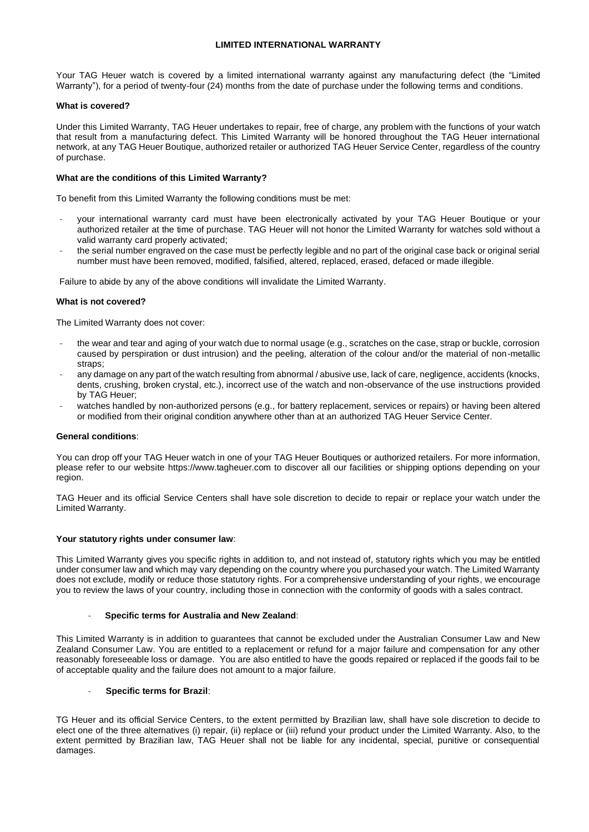## **LIMITED INTERNATIONAL WARRANTY**

Your TAG Heuer watch is covered by a limited international warranty against any manufacturing defect (the "Limited Warranty"), for a period of twenty-four (24) months from the date of purchase under the following terms and conditions.

### **What is covered?**

Under this Limited Warranty, TAG Heuer undertakes to repair, free of charge, any problem with the functions of your watch that result from a manufacturing defect. This Limited Warranty will be honored throughout the TAG Heuer international network, at any TAG Heuer Boutique, authorized retailer or authorized TAG Heuer Service Center, regardless of the country of purchase.

## **What are the conditions of this Limited Warranty?**

To benefit from this Limited Warranty the following conditions must be met:

- your international warranty card must have been electronically activated by your TAG Heuer Boutique or your authorized retailer at the time of purchase. TAG Heuer will not honor the Limited Warranty for watches sold without a valid warranty card properly activated;
- the serial number engraved on the case must be perfectly legible and no part of the original case back or original serial number must have been removed, modified, falsified, altered, replaced, erased, defaced or made illegible.

Failure to abide by any of the above conditions will invalidate the Limited Warranty.

## **What is not covered?**

The Limited Warranty does not cover:

- the wear and tear and aging of your watch due to normal usage (e.g., scratches on the case, strap or buckle, corrosion caused by perspiration or dust intrusion) and the peeling, alteration of the colour and/or the material of non-metallic straps;
- any damage on any part of the watch resulting from abnormal / abusive use, lack of care, negligence, accidents (knocks, dents, crushing, broken crystal, etc.), incorrect use of the watch and non-observance of the use instructions provided by TAG Heuer;
- watches handled by non-authorized persons (e.g., for battery replacement, services or repairs) or having been altered or modified from their original condition anywhere other than at an authorized TAG Heuer Service Center.

### **General conditions**:

You can drop off your TAG Heuer watch in one of your TAG Heuer Boutiques or authorized retailers. For more information, please refer to our website https://www.tagheuer.com to discover all our facilities or shipping options depending on your region.

TAG Heuer and its official Service Centers shall have sole discretion to decide to repair or replace your watch under the Limited Warranty.

### **Your statutory rights under consumer law**:

This Limited Warranty gives you specific rights in addition to, and not instead of, statutory rights which you may be entitled under consumer law and which may vary depending on the country where you purchased your watch. The Limited Warranty does not exclude, modify or reduce those statutory rights. For a comprehensive understanding of your rights, we encourage you to review the laws of your country, including those in connection with the conformity of goods with a sales contract.

### - **Specific terms for Australia and New Zealand**:

This Limited Warranty is in addition to guarantees that cannot be excluded under the Australian Consumer Law and New Zealand Consumer Law. You are entitled to a replacement or refund for a major failure and compensation for any other reasonably foreseeable loss or damage. You are also entitled to have the goods repaired or replaced if the goods fail to be of acceptable quality and the failure does not amount to a major failure.

### - **Specific terms for Brazil**:

TG Heuer and its official Service Centers, to the extent permitted by Brazilian law, shall have sole discretion to decide to elect one of the three alternatives (i) repair, (ii) replace or (iii) refund your product under the Limited Warranty. Also, to the extent permitted by Brazilian law, TAG Heuer shall not be liable for any incidental, special, punitive or consequential damages.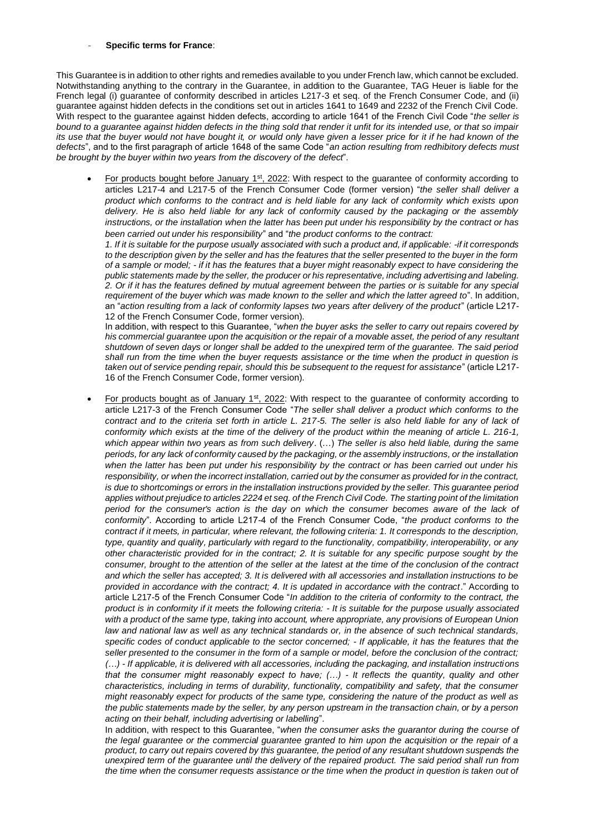#### - **Specific terms for France**:

This Guarantee is in addition to other rights and remedies available to you under French law, which cannot be excluded. Notwithstanding anything to the contrary in the Guarantee, in addition to the Guarantee, TAG Heuer is liable for the French legal (i) guarantee of conformity described in articles L217-3 et seq. of the French Consumer Code, and (ii) guarantee against hidden defects in the conditions set out in articles 1641 to 1649 and 2232 of the French Civil Code. With respect to the guarantee against hidden defects, according to article 1641 of the French Civil Code "*the seller is bound to a guarantee against hidden defects in the thing sold that render it unfit for its intended use, or that so impair its use that the buyer would not have bought it, or would only have given a lesser price for it if he had known of the defects*", and to the first paragraph of article 1648 of the same Code "*an action resulting from redhibitory defects must be brought by the buyer within two years from the discovery of the defect*".

• For products bought before January 1st, 2022: With respect to the guarantee of conformity according to articles L217-4 and L217-5 of the French Consumer Code (former version) "*the seller shall deliver a product which conforms to the contract and is held liable for any lack of conformity which exists upon delivery. He is also held liable for any lack of conformity caused by the packaging or the assembly instructions, or the installation when the latter has been put under his responsibility by the contract or has been carried out under his responsibility*" and "*the product conforms to the contract:* 

*1. If it is suitable for the purpose usually associated with such a product and, if applicable: -if it corresponds to the description given by the seller and has the features that the seller presented to the buyer in the form of a sample or model; - if it has the features that a buyer might reasonably expect to have considering the public statements made by the seller, the producer or his representative, including advertising and labeling. 2. Or if it has the features defined by mutual agreement between the parties or is suitable for any special requirement of the buyer which was made known to the seller and which the latter agreed to*". In addition, an "*action resulting from a lack of conformity lapses two years after delivery of the product*" (article L217- 12 of the French Consumer Code, former version).

In addition, with respect to this Guarantee, "*when the buyer asks the seller to carry out repairs covered by his commercial guarantee upon the acquisition or the repair of a movable asset, the period of any resultant shutdown of seven days or longer shall be added to the unexpired term of the guarantee. The said period shall run from the time when the buyer requests assistance or the time when the product in question is taken out of service pending repair, should this be subsequent to the request for assistance*" (article L217- 16 of the French Consumer Code, former version).

For products bought as of January  $1<sup>st</sup>$ , 2022: With respect to the guarantee of conformity according to article L217-3 of the French Consumer Code "*The seller shall deliver a product which conforms to the*  contract and to the criteria set forth in article L. 217-5. The seller is also held liable for any of lack of *conformity which exists at the time of the delivery of the product within the meaning of article L. 216-1, which appear within two years as from such delivery*. (…) *The seller is also held liable, during the same periods, for any lack of conformity caused by the packaging, or the assembly instructions, or the installation when the latter has been put under his responsibility by the contract or has been carried out under his*  responsibility, or when the incorrect installation, carried out by the consumer as provided for in the contract, *is due to shortcomings or errors in the installation instructions provided by the seller. This guarantee period applies without prejudice to articles 2224 et seq. of the French Civil Code. The starting point of the limitation period for the consumer's action is the day on which the consumer becomes aware of the lack of conformity*". According to article L217-4 of the French Consumer Code, "*the product conforms to the contract if it meets, in particular, where relevant, the following criteria: 1. It corresponds to the description, type, quantity and quality, particularly with regard to the functionality, compatibility, interoperability, or any other characteristic provided for in the contract; 2. It is suitable for any specific purpose sought by the consumer, brought to the attention of the seller at the latest at the time of the conclusion of the contract and which the seller has accepted; 3. It is delivered with all accessories and installation instructions to be provided in accordance with the contract; 4. It is updated in accordance with the contract*." According to article L217-5 of the French Consumer Code "*In addition to the criteria of conformity to the contract, the product is in conformity if it meets the following criteria: - It is suitable for the purpose usually associated with a product of the same type, taking into account, where appropriate, any provisions of European Union*  law and national law as well as any technical standards or, in the absence of such technical standards, *specific codes of conduct applicable to the sector concerned; - If applicable, it has the features that the seller presented to the consumer in the form of a sample or model, before the conclusion of the contract; (…) - If applicable, it is delivered with all accessories, including the packaging, and installation instructions that the consumer might reasonably expect to have; (…) - It reflects the quantity, quality and other characteristics, including in terms of durability, functionality, compatibility and safety, that the consumer might reasonably expect for products of the same type, considering the nature of the product as well as the public statements made by the seller, by any person upstream in the transaction chain, or by a person acting on their behalf, including advertising or labelling*".

In addition, with respect to this Guarantee, "*when the consumer asks the guarantor during the course of the legal guarantee or the commercial guarantee granted to him upon the acquisition or the repair of a product, to carry out repairs covered by this guarantee, the period of any resultant shutdown suspends the unexpired term of the guarantee until the delivery of the repaired product. The said period shall run from the time when the consumer requests assistance or the time when the product in question is taken out of*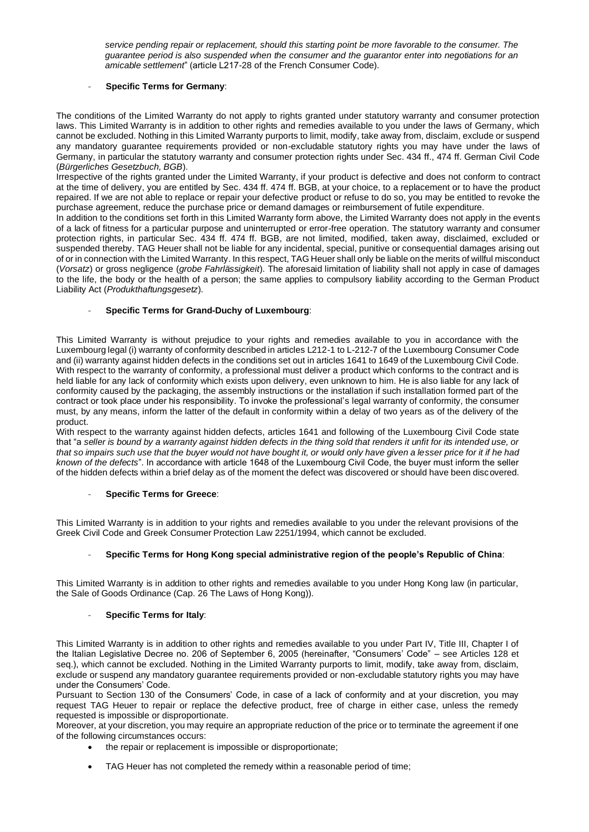*service pending repair or replacement, should this starting point be more favorable to the consumer. The guarantee period is also suspended when the consumer and the guarantor enter into negotiations for an amicable settlement*" (article L217-28 of the French Consumer Code).

## - **Specific Terms for Germany**:

The conditions of the Limited Warranty do not apply to rights granted under statutory warranty and consumer protection laws. This Limited Warranty is in addition to other rights and remedies available to you under the laws of Germany, which cannot be excluded. Nothing in this Limited Warranty purports to limit, modify, take away from, disclaim, exclude or suspend any mandatory guarantee requirements provided or non-excludable statutory rights you may have under the laws of Germany, in particular the statutory warranty and consumer protection rights under Sec. 434 ff., 474 ff. German Civil Code (*Bürgerliches Gesetzbuch, BGB*).

Irrespective of the rights granted under the Limited Warranty, if your product is defective and does not conform to contract at the time of delivery, you are entitled by Sec. 434 ff. 474 ff. BGB, at your choice, to a replacement or to have the product repaired. If we are not able to replace or repair your defective product or refuse to do so, you may be entitled to revoke the purchase agreement, reduce the purchase price or demand damages or reimbursement of futile expenditure.

In addition to the conditions set forth in this Limited Warranty form above, the Limited Warranty does not apply in the events of a lack of fitness for a particular purpose and uninterrupted or error-free operation. The statutory warranty and consumer protection rights, in particular Sec. 434 ff. 474 ff. BGB, are not limited, modified, taken away, disclaimed, excluded or suspended thereby. TAG Heuer shall not be liable for any incidental, special, punitive or consequential damages arising out of or in connection with the Limited Warranty. In this respect, TAG Heuer shall only be liable on the merits of willful misconduct (*Vorsatz*) or gross negligence (*grobe Fahrlässigkeit*). The aforesaid limitation of liability shall not apply in case of damages to the life, the body or the health of a person; the same applies to compulsory liability according to the German Product Liability Act (*Produkthaftungsgesetz*).

## - **Specific Terms for Grand-Duchy of Luxembourg**:

This Limited Warranty is without prejudice to your rights and remedies available to you in accordance with the Luxembourg legal (i) warranty of conformity described in articles L212-1 to L-212-7 of the Luxembourg Consumer Code and (ii) warranty against hidden defects in the conditions set out in articles 1641 to 1649 of the Luxembourg Civil Code. With respect to the warranty of conformity, a professional must deliver a product which conforms to the contract and is held liable for any lack of conformity which exists upon delivery, even unknown to him. He is also liable for any lack of conformity caused by the packaging, the assembly instructions or the installation if such installation formed part of the contract or took place under his responsibility. To invoke the professional's legal warranty of conformity, the consumer must, by any means, inform the latter of the default in conformity within a delay of two years as of the delivery of the product.

With respect to the warranty against hidden defects, articles 1641 and following of the Luxembourg Civil Code state that "a *seller is bound by a warranty against hidden defects in the thing sold that renders it unfit for its intended use, or that so impairs such use that the buyer would not have bought it, or would only have given a lesser price for it if he had known of the defects*". In accordance with article 1648 of the Luxembourg Civil Code, the buyer must inform the seller of the hidden defects within a brief delay as of the moment the defect was discovered or should have been discovered.

# - **Specific Terms for Greece**:

This Limited Warranty is in addition to your rights and remedies available to you under the relevant provisions of the Greek Civil Code and Greek Consumer Protection Law 2251/1994, which cannot be excluded.

# - **Specific Terms for Hong Kong special administrative region of the people's Republic of China**:

This Limited Warranty is in addition to other rights and remedies available to you under Hong Kong law (in particular, the Sale of Goods Ordinance (Cap. 26 The Laws of Hong Kong)).

### - **Specific Terms for Italy**:

This Limited Warranty is in addition to other rights and remedies available to you under Part IV, Title III, Chapter I of the Italian Legislative Decree no. 206 of September 6, 2005 (hereinafter, "Consumers' Code" – see Articles 128 et seq.), which cannot be excluded. Nothing in the Limited Warranty purports to limit, modify, take away from, disclaim, exclude or suspend any mandatory guarantee requirements provided or non-excludable statutory rights you may have under the Consumers' Code.

Pursuant to Section 130 of the Consumers' Code, in case of a lack of conformity and at your discretion, you may request TAG Heuer to repair or replace the defective product, free of charge in either case, unless the remedy requested is impossible or disproportionate.

Moreover, at your discretion, you may require an appropriate reduction of the price or to terminate the agreement if one of the following circumstances occurs:

- the repair or replacement is impossible or disproportionate;
- TAG Heuer has not completed the remedy within a reasonable period of time;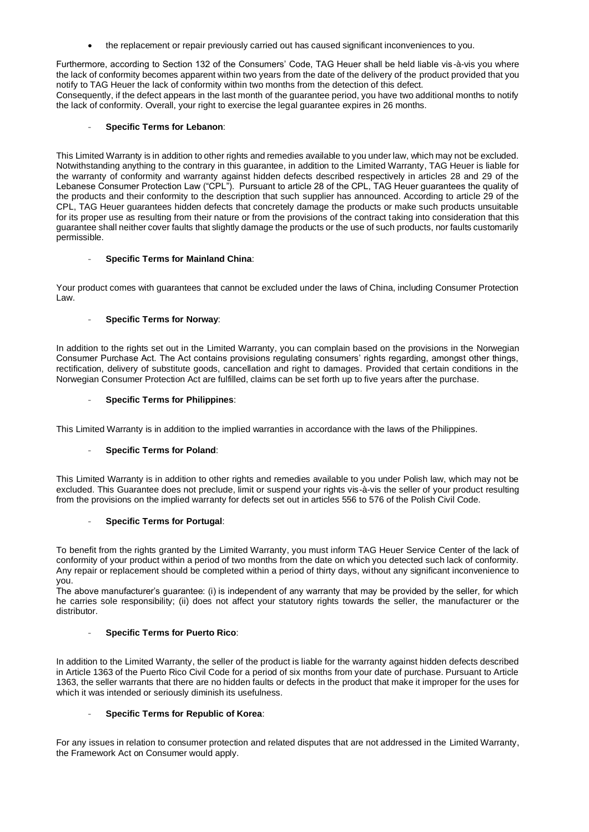• the replacement or repair previously carried out has caused significant inconveniences to you.

Furthermore, according to Section 132 of the Consumers' Code, TAG Heuer shall be held liable vis-à-vis you where the lack of conformity becomes apparent within two years from the date of the delivery of the product provided that you notify to TAG Heuer the lack of conformity within two months from the detection of this defect.

Consequently, if the defect appears in the last month of the guarantee period, you have two additional months to notify the lack of conformity. Overall, your right to exercise the legal guarantee expires in 26 months.

## - **Specific Terms for Lebanon**:

This Limited Warranty is in addition to other rights and remedies available to you under law, which may not be excluded. Notwithstanding anything to the contrary in this guarantee, in addition to the Limited Warranty, TAG Heuer is liable for the warranty of conformity and warranty against hidden defects described respectively in articles 28 and 29 of the Lebanese Consumer Protection Law ("CPL"). Pursuant to article 28 of the CPL, TAG Heuer guarantees the quality of the products and their conformity to the description that such supplier has announced. According to article 29 of the CPL, TAG Heuer guarantees hidden defects that concretely damage the products or make such products unsuitable for its proper use as resulting from their nature or from the provisions of the contract taking into consideration that this guarantee shall neither cover faults that slightly damage the products or the use of such products, nor faults customarily permissible.

## - **Specific Terms for Mainland China**:

Your product comes with guarantees that cannot be excluded under the laws of China, including Consumer Protection Law.

## - **Specific Terms for Norway**:

In addition to the rights set out in the Limited Warranty, you can complain based on the provisions in the Norwegian Consumer Purchase Act. The Act contains provisions regulating consumers' rights regarding, amongst other things, rectification, delivery of substitute goods, cancellation and right to damages. Provided that certain conditions in the Norwegian Consumer Protection Act are fulfilled, claims can be set forth up to five years after the purchase.

## - **Specific Terms for Philippines**:

This Limited Warranty is in addition to the implied warranties in accordance with the laws of the Philippines.

# **Specific Terms for Poland:**

This Limited Warranty is in addition to other rights and remedies available to you under Polish law, which may not be excluded. This Guarantee does not preclude, limit or suspend your rights vis-à-vis the seller of your product resulting from the provisions on the implied warranty for defects set out in articles 556 to 576 of the Polish Civil Code.

### - **Specific Terms for Portugal**:

To benefit from the rights granted by the Limited Warranty, you must inform TAG Heuer Service Center of the lack of conformity of your product within a period of two months from the date on which you detected such lack of conformity. Any repair or replacement should be completed within a period of thirty days, without any significant inconvenience to you.

The above manufacturer's guarantee: (i) is independent of any warranty that may be provided by the seller, for which he carries sole responsibility; (ii) does not affect your statutory rights towards the seller, the manufacturer or the distributor.

# - **Specific Terms for Puerto Rico**:

In addition to the Limited Warranty, the seller of the product is liable for the warranty against hidden defects described in Article 1363 of the Puerto Rico Civil Code for a period of six months from your date of purchase. Pursuant to Article 1363, the seller warrants that there are no hidden faults or defects in the product that make it improper for the uses for which it was intended or seriously diminish its usefulness.

### - **Specific Terms for Republic of Korea**:

For any issues in relation to consumer protection and related disputes that are not addressed in the Limited Warranty, the Framework Act on Consumer would apply.